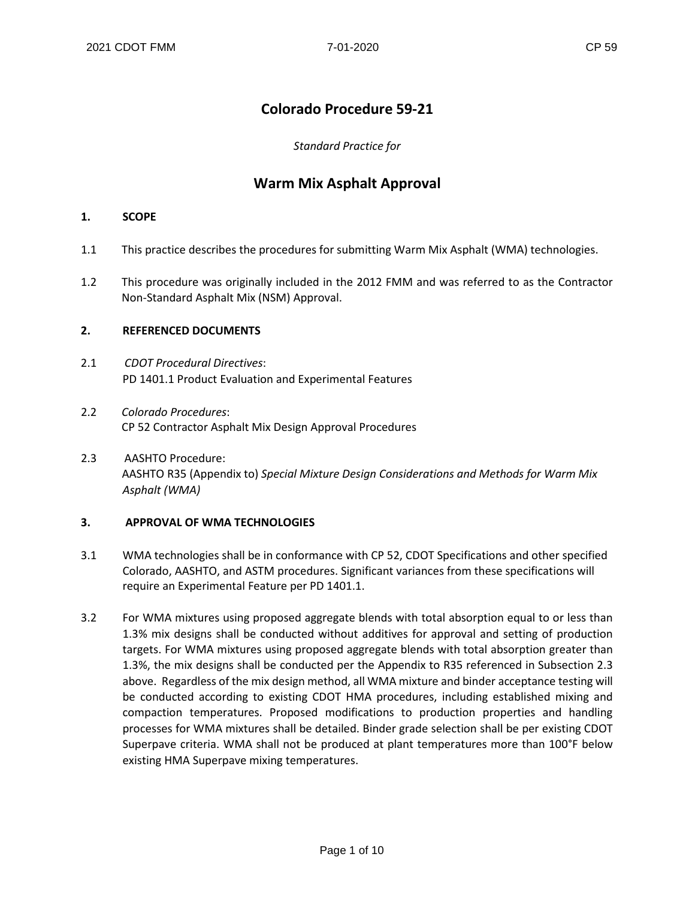## **Colorado Procedure 59-21**

*Standard Practice for*

### **Warm Mix Asphalt Approval**

### **1. SCOPE**

- 1.1 This practice describes the procedures for submitting Warm Mix Asphalt (WMA) technologies.
- 1.2 This procedure was originally included in the 2012 FMM and was referred to as the Contractor Non-Standard Asphalt Mix (NSM) Approval.

### **2. REFERENCED DOCUMENTS**

- 2.1 *CDOT Procedural Directives*: PD 1401.1 Product Evaluation and Experimental Features
- 2.2 *Colorado Procedures*: CP 52 Contractor Asphalt Mix Design Approval Procedures
- 2.3 AASHTO Procedure: AASHTO R35 (Appendix to) *Special Mixture Design Considerations and Methods for Warm Mix Asphalt (WMA)*

#### **3. APPROVAL OF WMA TECHNOLOGIES**

- 3.1 WMA technologies shall be in conformance with CP 52, CDOT Specifications and other specified Colorado, AASHTO, and ASTM procedures. Significant variances from these specifications will require an Experimental Feature per PD 1401.1.
- 3.2 For WMA mixtures using proposed aggregate blends with total absorption equal to or less than 1.3% mix designs shall be conducted without additives for approval and setting of production targets. For WMA mixtures using proposed aggregate blends with total absorption greater than 1.3%, the mix designs shall be conducted per the Appendix to R35 referenced in Subsection 2.3 above. Regardless of the mix design method, all WMA mixture and binder acceptance testing will be conducted according to existing CDOT HMA procedures, including established mixing and compaction temperatures. Proposed modifications to production properties and handling processes for WMA mixtures shall be detailed. Binder grade selection shall be per existing CDOT Superpave criteria. WMA shall not be produced at plant temperatures more than 100°F below existing HMA Superpave mixing temperatures.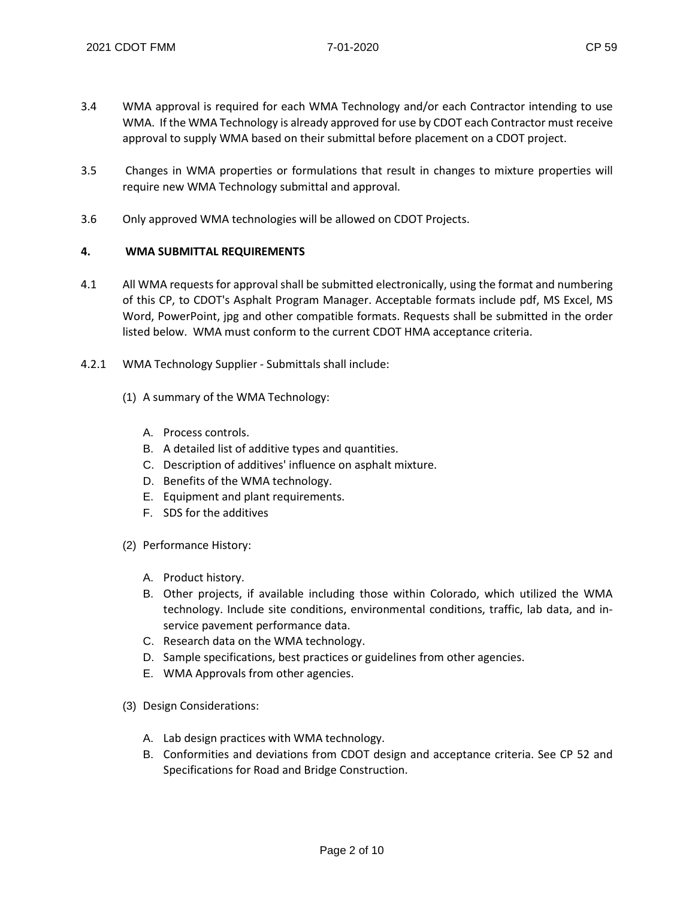- 3.4 WMA approval is required for each WMA Technology and/or each Contractor intending to use WMA. If the WMA Technology is already approved for use by CDOT each Contractor must receive approval to supply WMA based on their submittal before placement on a CDOT project.
- 3.5 Changes in WMA properties or formulations that result in changes to mixture properties will require new WMA Technology submittal and approval.
- 3.6 Only approved WMA technologies will be allowed on CDOT Projects.

#### **4. WMA SUBMITTAL REQUIREMENTS**

- 4.1 All WMA requests for approval shall be submitted electronically, using the format and numbering of this CP, to CDOT's Asphalt Program Manager. Acceptable formats include pdf, MS Excel, MS Word, PowerPoint, jpg and other compatible formats. Requests shall be submitted in the order listed below. WMA must conform to the current CDOT HMA acceptance criteria.
- 4.2.1 WMA Technology Supplier Submittals shall include:
	- (1) A summary of the WMA Technology:
		- A. Process controls.
		- B. A detailed list of additive types and quantities.
		- C. Description of additives' influence on asphalt mixture.
		- D. Benefits of the WMA technology.
		- E. Equipment and plant requirements.
		- F. SDS for the additives
	- (2) Performance History:
		- A. Product history.
		- B. Other projects, if available including those within Colorado, which utilized the WMA technology. Include site conditions, environmental conditions, traffic, lab data, and inservice pavement performance data.
		- C. Research data on the WMA technology.
		- D. Sample specifications, best practices or guidelines from other agencies.
		- E. WMA Approvals from other agencies.
	- (3) Design Considerations:
		- A. Lab design practices with WMA technology.
		- B. Conformities and deviations from CDOT design and acceptance criteria. See CP 52 and Specifications for Road and Bridge Construction.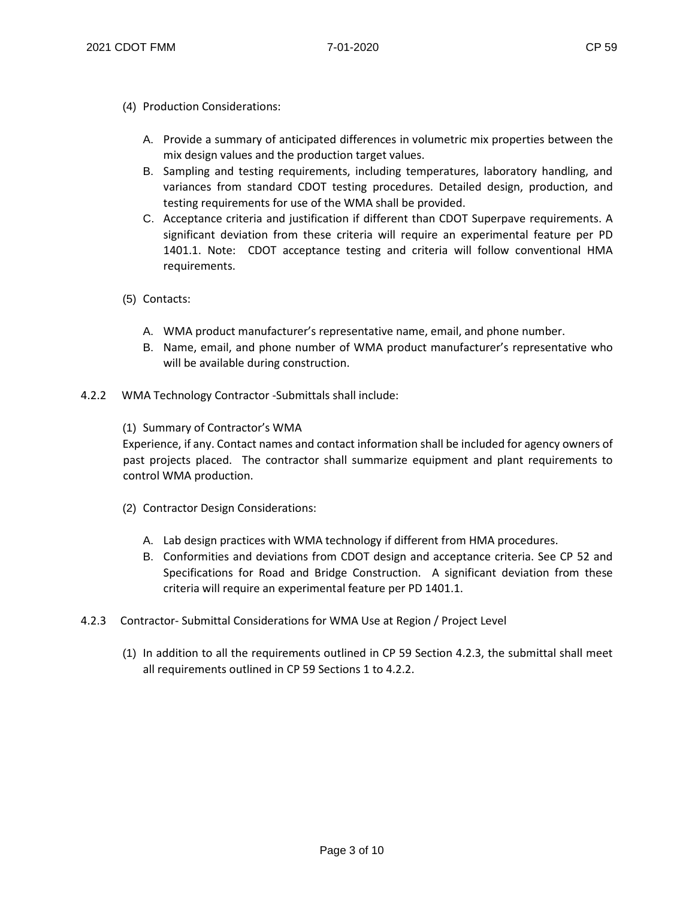- (4) Production Considerations:
	- A. Provide a summary of anticipated differences in volumetric mix properties between the mix design values and the production target values.
	- B. Sampling and testing requirements, including temperatures, laboratory handling, and variances from standard CDOT testing procedures. Detailed design, production, and testing requirements for use of the WMA shall be provided.
	- C. Acceptance criteria and justification if different than CDOT Superpave requirements. A significant deviation from these criteria will require an experimental feature per PD 1401.1. Note: CDOT acceptance testing and criteria will follow conventional HMA requirements.
- (5) Contacts:
	- A. WMA product manufacturer's representative name, email, and phone number.
	- B. Name, email, and phone number of WMA product manufacturer's representative who will be available during construction.
- 4.2.2 WMA Technology Contractor -Submittals shall include:
	- (1) Summary of Contractor's WMA

Experience, if any. Contact names and contact information shall be included for agency owners of past projects placed. The contractor shall summarize equipment and plant requirements to control WMA production.

- (2) Contractor Design Considerations:
	- A. Lab design practices with WMA technology if different from HMA procedures.
	- B. Conformities and deviations from CDOT design and acceptance criteria. See CP 52 and Specifications for Road and Bridge Construction. A significant deviation from these criteria will require an experimental feature per PD 1401.1.
- 4.2.3 Contractor- Submittal Considerations for WMA Use at Region / Project Level
	- (1) In addition to all the requirements outlined in CP 59 Section 4.2.3, the submittal shall meet all requirements outlined in CP 59 Sections 1 to 4.2.2.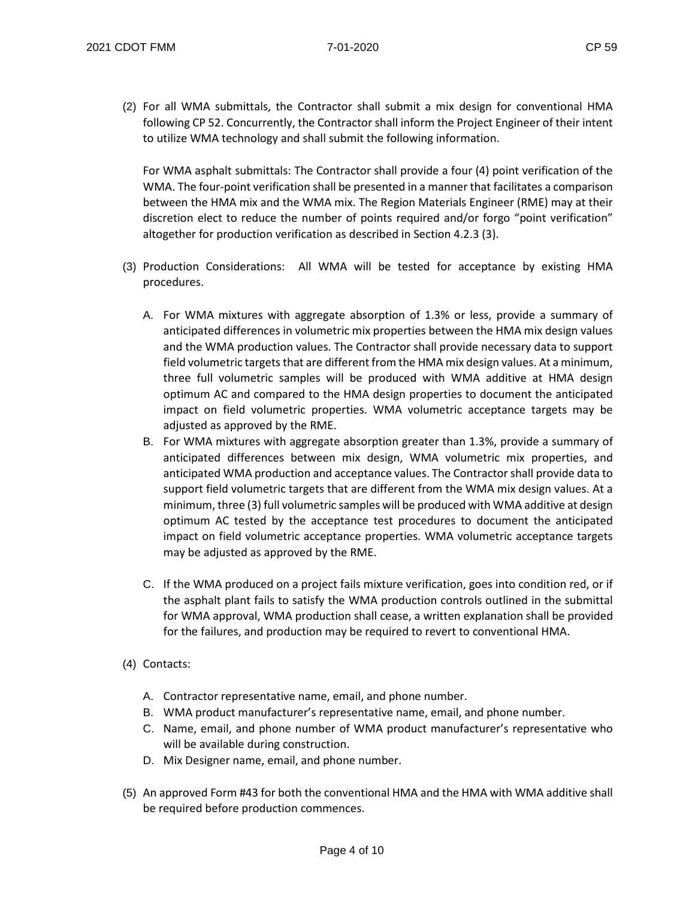(2) For all WMA submittals, the Contractor shall submit a mix design for conventional HMA following CP 52. Concurrently, the Contractor shall inform the Project Engineer of their intent to utilize WMA technology and shall submit the following information.

For WMA asphalt submittals: The Contractor shall provide a four (4) point verification of the WMA. The four-point verification shall be presented in a manner that facilitates a comparison between the HMA mix and the WMA mix. The Region Materials Engineer (RME) may at their discretion elect to reduce the number of points required and/or forgo "point verification" altogether for production verification as described in Section 4.2.3 (3).

- (3) Production Considerations: All WMA will be tested for acceptance by existing HMA procedures.
	- A. For WMA mixtures with aggregate absorption of 1.3% or less, provide a summary of anticipated differences in volumetric mix properties between the HMA mix design values and the WMA production values. The Contractor shall provide necessary data to support field volumetric targets that are different from the HMA mix design values. At a minimum, three full volumetric samples will be produced with WMA additive at HMA design optimum AC and compared to the HMA design properties to document the anticipated impact on field volumetric properties. WMA volumetric acceptance targets may be adjusted as approved by the RME.
	- B. For WMA mixtures with aggregate absorption greater than 1.3%, provide a summary of anticipated differences between mix design, WMA volumetric mix properties, and anticipated WMA production and acceptance values. The Contractor shall provide data to support field volumetric targets that are different from the WMA mix design values. At a minimum, three (3) full volumetric samples will be produced with WMA additive at design optimum AC tested by the acceptance test procedures to document the anticipated impact on field volumetric acceptance properties. WMA volumetric acceptance targets may be adjusted as approved by the RME.
	- C. If the WMA produced on a project fails mixture verification, goes into condition red, or if the asphalt plant fails to satisfy the WMA production controls outlined in the submittal for WMA approval, WMA production shall cease, a written explanation shall be provided for the failures, and production may be required to revert to conventional HMA.
- (4) Contacts:
	- A. Contractor representative name, email, and phone number.
	- B. WMA product manufacturer's representative name, email, and phone number.
	- C. Name, email, and phone number of WMA product manufacturer's representative who will be available during construction.
	- D. Mix Designer name, email, and phone number.
- (5) An approved Form #43 for both the conventional HMA and the HMA with WMA additive shall be required before production commences.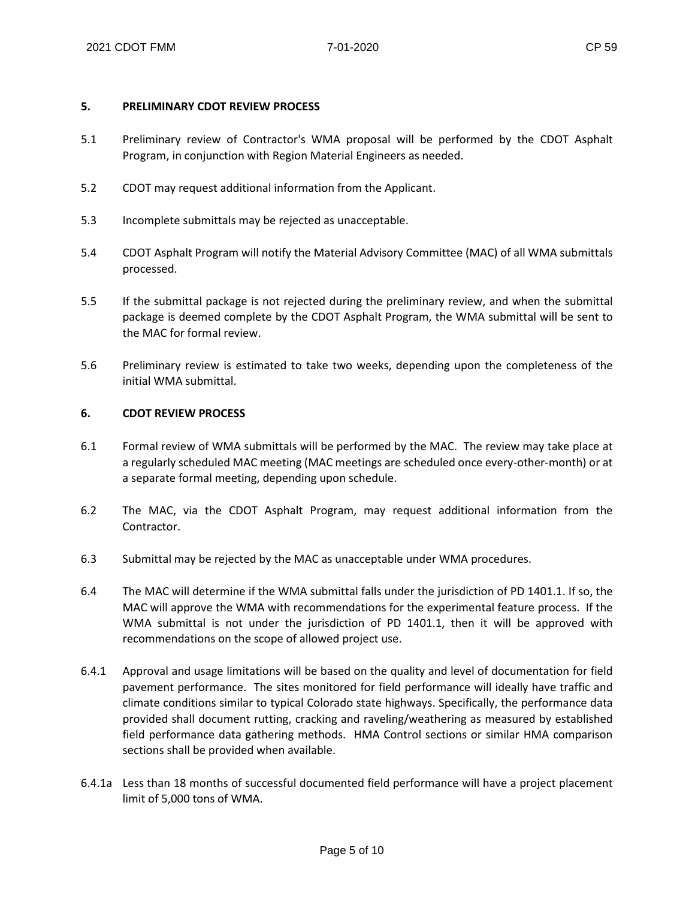#### **5. PRELIMINARY CDOT REVIEW PROCESS**

- 5.1 Preliminary review of Contractor's WMA proposal will be performed by the CDOT Asphalt Program, in conjunction with Region Material Engineers as needed.
- 5.2 CDOT may request additional information from the Applicant.
- 5.3 Incomplete submittals may be rejected as unacceptable.
- 5.4 CDOT Asphalt Program will notify the Material Advisory Committee (MAC) of all WMA submittals processed.
- 5.5 If the submittal package is not rejected during the preliminary review, and when the submittal package is deemed complete by the CDOT Asphalt Program, the WMA submittal will be sent to the MAC for formal review.
- 5.6 Preliminary review is estimated to take two weeks, depending upon the completeness of the initial WMA submittal.

#### **6. CDOT REVIEW PROCESS**

- 6.1 Formal review of WMA submittals will be performed by the MAC. The review may take place at a regularly scheduled MAC meeting (MAC meetings are scheduled once every-other-month) or at a separate formal meeting, depending upon schedule.
- 6.2 The MAC, via the CDOT Asphalt Program, may request additional information from the Contractor.
- 6.3 Submittal may be rejected by the MAC as unacceptable under WMA procedures.
- 6.4 The MAC will determine if the WMA submittal falls under the jurisdiction of PD 1401.1. If so, the MAC will approve the WMA with recommendations for the experimental feature process. If the WMA submittal is not under the jurisdiction of PD 1401.1, then it will be approved with recommendations on the scope of allowed project use.
- 6.4.1 Approval and usage limitations will be based on the quality and level of documentation for field pavement performance. The sites monitored for field performance will ideally have traffic and climate conditions similar to typical Colorado state highways. Specifically, the performance data provided shall document rutting, cracking and raveling/weathering as measured by established field performance data gathering methods. HMA Control sections or similar HMA comparison sections shall be provided when available.
- 6.4.1a Less than 18 months of successful documented field performance will have a project placement limit of 5,000 tons of WMA.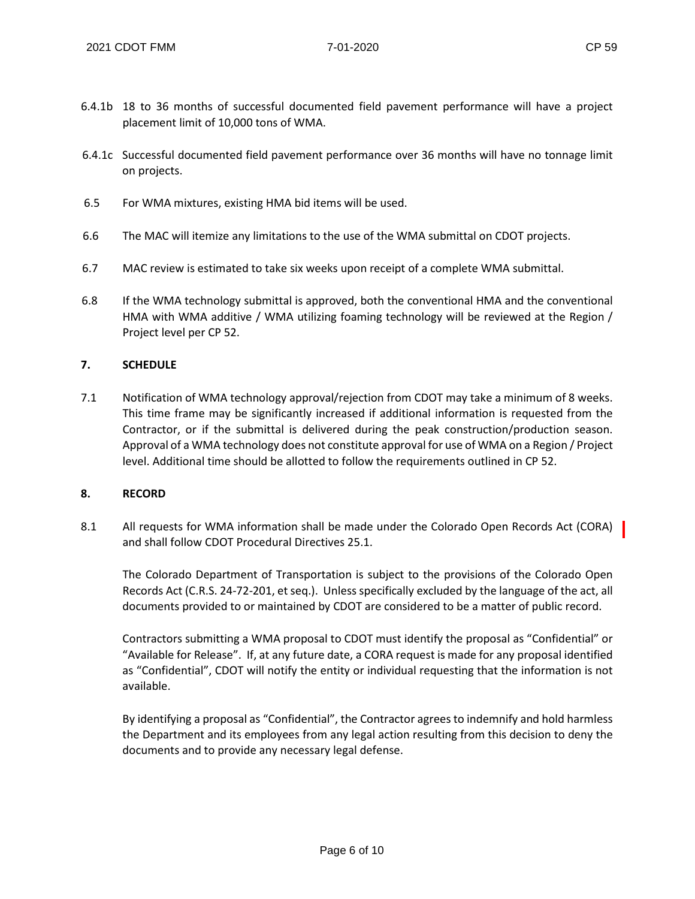- 6.4.1b 18 to 36 months of successful documented field pavement performance will have a project placement limit of 10,000 tons of WMA.
- 6.4.1c Successful documented field pavement performance over 36 months will have no tonnage limit on projects.
- 6.5 For WMA mixtures, existing HMA bid items will be used.
- 6.6 The MAC will itemize any limitations to the use of the WMA submittal on CDOT projects.
- 6.7 MAC review is estimated to take six weeks upon receipt of a complete WMA submittal.
- 6.8 If the WMA technology submittal is approved, both the conventional HMA and the conventional HMA with WMA additive / WMA utilizing foaming technology will be reviewed at the Region / Project level per CP 52.

#### **7. SCHEDULE**

7.1 Notification of WMA technology approval/rejection from CDOT may take a minimum of 8 weeks. This time frame may be significantly increased if additional information is requested from the Contractor, or if the submittal is delivered during the peak construction/production season. Approval of a WMA technology does not constitute approval for use of WMA on a Region / Project level. Additional time should be allotted to follow the requirements outlined in CP 52.

#### **8. RECORD**

8.1 All requests for WMA information shall be made under the Colorado Open Records Act (CORA) and shall follow CDOT Procedural Directives 25.1.

The Colorado Department of Transportation is subject to the provisions of the Colorado Open Records Act (C.R.S. 24-72-201, et seq.). Unless specifically excluded by the language of the act, all documents provided to or maintained by CDOT are considered to be a matter of public record.

Contractors submitting a WMA proposal to CDOT must identify the proposal as "Confidential" or "Available for Release". If, at any future date, a CORA request is made for any proposal identified as "Confidential", CDOT will notify the entity or individual requesting that the information is not available.

By identifying a proposal as "Confidential", the Contractor agrees to indemnify and hold harmless the Department and its employees from any legal action resulting from this decision to deny the documents and to provide any necessary legal defense.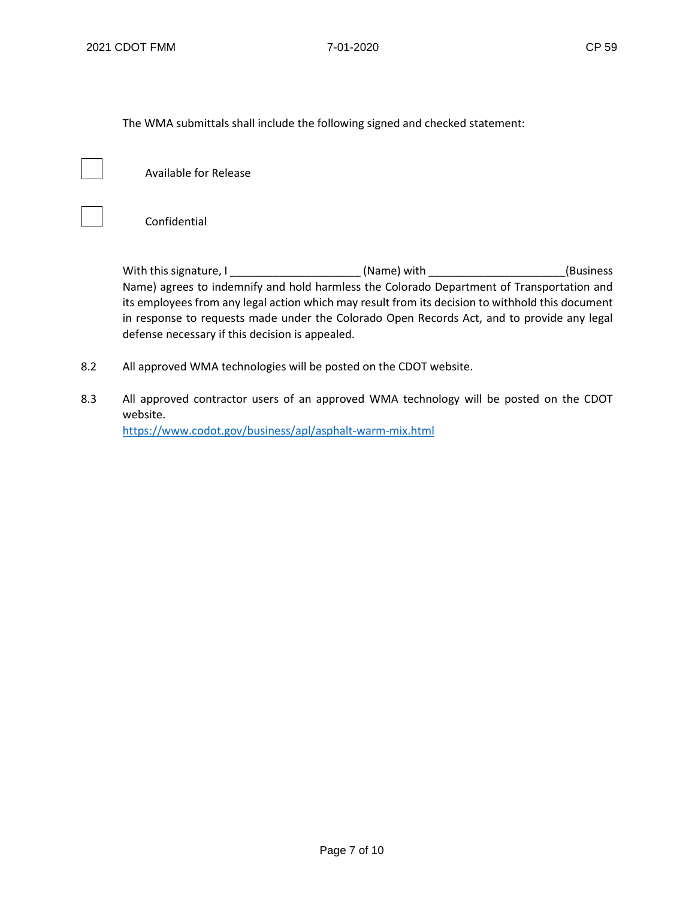The WMA submittals shall include the following signed and checked statement:



 $\overline{1}$ 

Available for Release

Confidential

With this signature, I \_\_\_\_\_\_\_\_\_\_\_\_\_\_\_\_\_\_\_\_\_ (Name) with \_\_\_\_\_\_\_\_\_\_\_\_\_\_\_\_\_\_\_\_\_\_(Business Name) agrees to indemnify and hold harmless the Colorado Department of Transportation and its employees from any legal action which may result from its decision to withhold this document in response to requests made under the Colorado Open Records Act, and to provide any legal defense necessary if this decision is appealed.

- 8.2 All approved WMA technologies will be posted on the CDOT website.
- 8.3 All approved contractor users of an approved WMA technology will be posted on the CDOT website. <https://www.codot.gov/business/apl/asphalt-warm-mix.html>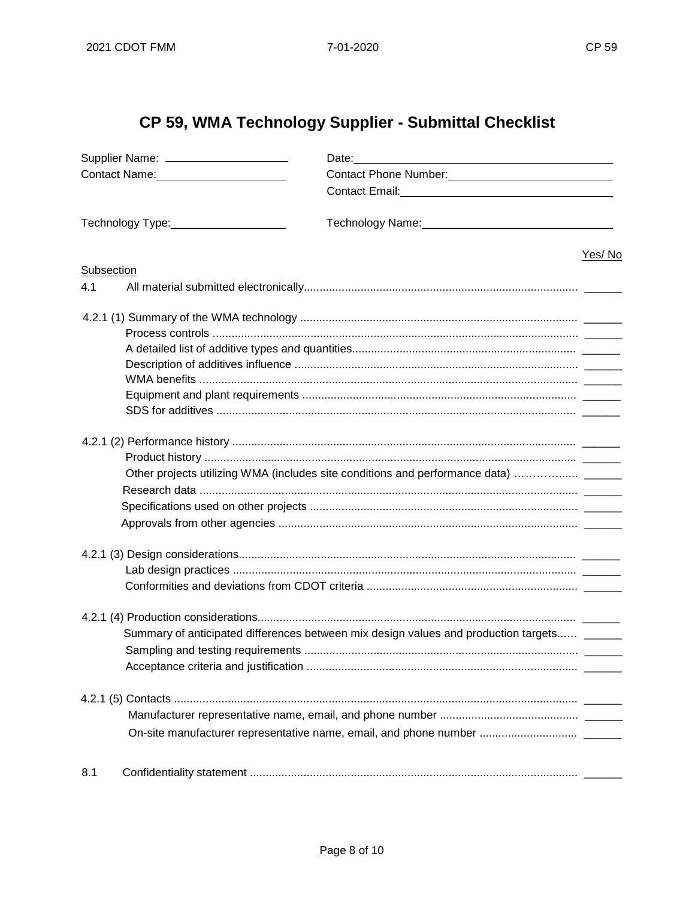# CP 59, WMA Technology Supplier - Submittal Checklist

| Supplier Name: ______________________ |                       |                                                                                                                |        |  |
|---------------------------------------|-----------------------|----------------------------------------------------------------------------------------------------------------|--------|--|
|                                       |                       | Contact Phone Number:<br><u>Contact Phone Number:</u>                                                          |        |  |
|                                       |                       |                                                                                                                |        |  |
|                                       | Technology Type: 1990 | Technology Name: 1988 Manual Manual Manual Manual Manual Manual Manual Manual Manual Manual Manual Manual Manu |        |  |
|                                       |                       |                                                                                                                |        |  |
| Subsection                            |                       |                                                                                                                | Yes/No |  |
| 4.1                                   |                       |                                                                                                                |        |  |
|                                       |                       |                                                                                                                |        |  |
|                                       |                       |                                                                                                                |        |  |
|                                       |                       |                                                                                                                |        |  |
|                                       |                       |                                                                                                                |        |  |
|                                       |                       |                                                                                                                |        |  |
|                                       |                       |                                                                                                                |        |  |
|                                       |                       |                                                                                                                |        |  |
|                                       |                       |                                                                                                                |        |  |
|                                       |                       |                                                                                                                |        |  |
|                                       |                       | Other projects utilizing WMA (includes site conditions and performance data)                                   |        |  |
|                                       |                       |                                                                                                                |        |  |
|                                       |                       |                                                                                                                |        |  |
|                                       |                       |                                                                                                                |        |  |
|                                       |                       |                                                                                                                |        |  |
|                                       |                       |                                                                                                                |        |  |
|                                       |                       |                                                                                                                |        |  |
|                                       |                       |                                                                                                                |        |  |
|                                       |                       | Summary of anticipated differences between mix design values and production targets                            |        |  |
|                                       |                       |                                                                                                                |        |  |
|                                       |                       |                                                                                                                |        |  |
|                                       |                       |                                                                                                                |        |  |
|                                       |                       |                                                                                                                |        |  |
|                                       |                       |                                                                                                                |        |  |
|                                       |                       |                                                                                                                |        |  |
| 8.1                                   |                       |                                                                                                                |        |  |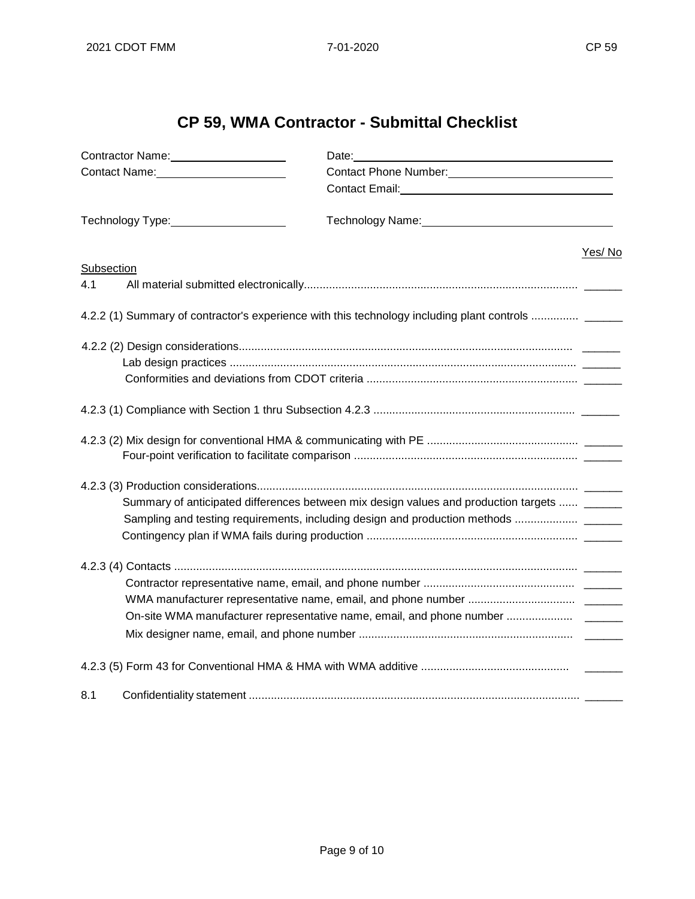## **CP 59, WMA Contractor - Submittal Checklist**

| Contractor Name:<br><u> Contractor Name:</u> | Date: and the state of the state of the state of the state of the state of the state of the state of the state of the state of the state of the state of the state of the state of the state of the state of the state of the  |        |  |  |  |
|----------------------------------------------|--------------------------------------------------------------------------------------------------------------------------------------------------------------------------------------------------------------------------------|--------|--|--|--|
| Contact Name: The Contact Name:              | Contact Phone Number:<br><u> Contact Phone Number:</u>                                                                                                                                                                         |        |  |  |  |
|                                              |                                                                                                                                                                                                                                |        |  |  |  |
| Technology Type: 1997                        | Technology Name: Name and Contact Contact Contact Contact Contact Contact Contact Contact Contact Contact Contact Contact Contact Contact Contact Contact Contact Contact Contact Contact Contact Contact Contact Contact Cont |        |  |  |  |
|                                              |                                                                                                                                                                                                                                | Yes/No |  |  |  |
| Subsection                                   |                                                                                                                                                                                                                                |        |  |  |  |
| 4.1                                          |                                                                                                                                                                                                                                |        |  |  |  |
|                                              | 4.2.2 (1) Summary of contractor's experience with this technology including plant controls  ______                                                                                                                             |        |  |  |  |
|                                              |                                                                                                                                                                                                                                |        |  |  |  |
|                                              |                                                                                                                                                                                                                                |        |  |  |  |
|                                              |                                                                                                                                                                                                                                |        |  |  |  |
|                                              |                                                                                                                                                                                                                                |        |  |  |  |
|                                              |                                                                                                                                                                                                                                |        |  |  |  |
|                                              |                                                                                                                                                                                                                                |        |  |  |  |
|                                              |                                                                                                                                                                                                                                |        |  |  |  |
|                                              |                                                                                                                                                                                                                                |        |  |  |  |
|                                              | Summary of anticipated differences between mix design values and production targets  ______                                                                                                                                    |        |  |  |  |
|                                              | Sampling and testing requirements, including design and production methods                                                                                                                                                     |        |  |  |  |
|                                              |                                                                                                                                                                                                                                |        |  |  |  |
|                                              |                                                                                                                                                                                                                                |        |  |  |  |
|                                              |                                                                                                                                                                                                                                |        |  |  |  |
|                                              |                                                                                                                                                                                                                                |        |  |  |  |
|                                              |                                                                                                                                                                                                                                |        |  |  |  |
|                                              |                                                                                                                                                                                                                                |        |  |  |  |
|                                              |                                                                                                                                                                                                                                |        |  |  |  |
| 8.1                                          |                                                                                                                                                                                                                                |        |  |  |  |